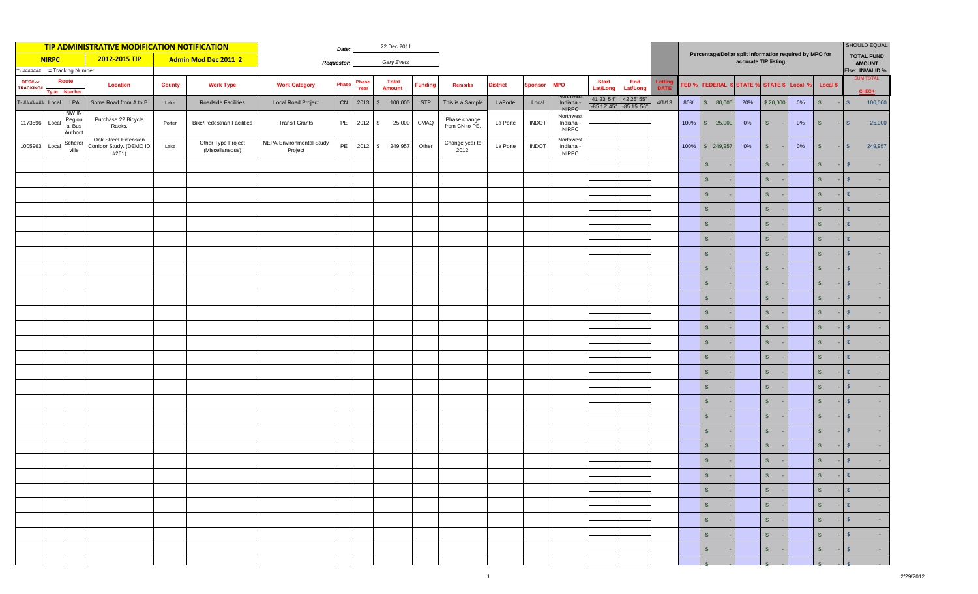| <b>TIP ADMINISTRATIVE MODIFICATION NOTIFICATION</b> |       |                                       |                                                           |               |                                       |                                            | 22 Dec 2011       |               |                               |         |                |                                |                 |                |                                        | SHOULD EQUAL<br>Percentage/Dollar split information required by MPO for |                                       |                      |                  |                           |                      |                |                                     |                 |                                  |
|-----------------------------------------------------|-------|---------------------------------------|-----------------------------------------------------------|---------------|---------------------------------------|--------------------------------------------|-------------------|---------------|-------------------------------|---------|----------------|--------------------------------|-----------------|----------------|----------------------------------------|-------------------------------------------------------------------------|---------------------------------------|----------------------|------------------|---------------------------|----------------------|----------------|-------------------------------------|-----------------|----------------------------------|
| 2012-2015 TIP<br><b>NIRPC</b>                       |       |                                       |                                                           |               | Admin Mod Dec 2011 2                  |                                            | <b>Requestor:</b> | Gary Evers    |                               |         |                |                                |                 |                |                                        |                                                                         |                                       |                      |                  |                           | accurate TIP listing |                | <b>TOTAL FUND</b><br><b>AMOUNT</b>  |                 |                                  |
| r- #######<br>= Tracking Number<br>Route            |       |                                       |                                                           |               |                                       |                                            |                   |               |                               |         |                |                                |                 |                |                                        |                                                                         |                                       |                      |                  |                           |                      |                | Else: INVALID %<br><b>SUM TOTAL</b> |                 |                                  |
| DES# or<br><b>TRACKING#</b>                         | ype   | umber                                 | <b>Location</b>                                           | <b>County</b> | <b>Work Type</b>                      | <b>Work Category</b>                       | <sup>9</sup> has  | Phase<br>Year | <b>Total</b><br><b>Amount</b> |         | <b>Funding</b> | <b>Remarks</b>                 | <b>District</b> | <b>Sponsor</b> | <b>MPO</b>                             | <b>Start</b><br>Lat/Long                                                | End<br>Lat/Long                       | Letti<br><b>DATE</b> | FED <sub>%</sub> | <b>FEDERAL \$ STATE %</b> |                      | STATE \$       | Local °                             | <b>Local \$</b> | <b>CHECK</b>                     |
| T- #######                                          | Local | LPA                                   | Some Road from A to B                                     | Lake          | Roadside Facilities                   | <b>Local Road Project</b>                  |                   | CN 2013       | $\mathbb{S}$                  | 100,000 | <b>STP</b>     | This is a Sample               | LaPorte         | Local          | Indiana<br>NIRPC.                      | 41 23' 54"                                                              | 42 25' 55"<br>-85 12' 45" -85 15' 56" | 4/1/13               | 80%              | \$80,000                  | 20%                  | \$20,000       | 0%                                  | $\sqrt{3}$      | 100,000<br>S                     |
| 1173596                                             | Local | NW IN<br>Region<br>al Bus<br>Authorit | Purchase 22 Bicycle<br>Racks.                             | Porter        | <b>Bike/Pedestrian Facilities</b>     | <b>Transit Grants</b>                      |                   | PE 2012       | $\sqrt{S}$                    | 25,000  | CMAQ           | Phase change<br>from CN to PE. | La Porte        | <b>INDOT</b>   | Northwest<br>Indiana -<br><b>NIRPC</b> |                                                                         |                                       |                      |                  | 100% \$ 25,000            | 0%                   | $\sqrt{5}$     | 0%                                  | $$\mathbb{S}$$  | 25,000<br>$\mathbb{S}$           |
| 1005963                                             | Local | Scherer<br>ville                      | Oak Street Extension<br>Corridor Study. (DEMO ID<br>#261) | Lake          | Other Type Project<br>(Miscellaneous) | <b>NEPA Environmental Study</b><br>Project | PE                | 2012          | $\mathbb{S}$                  | 249,957 | Other          | Change year to<br>2012.        | La Porte        | <b>INDOT</b>   | Northwest<br>Indiana -<br><b>NIRPC</b> |                                                                         |                                       |                      | 100%             | \$249,957                 | $0\%$                | $\sqrt{3}$     | 0%                                  | $\sqrt{2}$      | 249,957<br>$\mathbb{S}$          |
|                                                     |       |                                       |                                                           |               |                                       |                                            |                   |               |                               |         |                |                                |                 |                |                                        |                                                                         |                                       |                      |                  | $\sqrt{2}$                |                      | $\mathsf{\$}$  |                                     | $\mathsf{s}$    | $\mathbf{s}$                     |
|                                                     |       |                                       |                                                           |               |                                       |                                            |                   |               |                               |         |                |                                |                 |                |                                        |                                                                         |                                       |                      |                  | $\mathsf{S}$              |                      | \$             |                                     | $\mathsf{s}$    | $\mathbf{s}$                     |
|                                                     |       |                                       |                                                           |               |                                       |                                            |                   |               |                               |         |                |                                |                 |                |                                        |                                                                         |                                       |                      |                  | $\mathsf{S}$              |                      | $\mathsf{\$}$  |                                     | $\mathsf{s}$    | $\sqrt{5}$                       |
|                                                     |       |                                       |                                                           |               |                                       |                                            |                   |               |                               |         |                |                                |                 |                |                                        |                                                                         |                                       |                      |                  | $\mathsf{S}$              |                      | $\mathsf{\$}$  |                                     | $\mathsf{s}$    | S                                |
|                                                     |       |                                       |                                                           |               |                                       |                                            |                   |               |                               |         |                |                                |                 |                |                                        |                                                                         |                                       |                      |                  | $\mathsf{\$}$             |                      | $\mathfrak{s}$ |                                     | $\mathsf{s}$    | $\mathbf{s}$                     |
|                                                     |       |                                       |                                                           |               |                                       |                                            |                   |               |                               |         |                |                                |                 |                |                                        |                                                                         |                                       |                      |                  | $\sqrt{2}$                |                      | $\sqrt{3}$     |                                     | $\sqrt{3}$      | S                                |
|                                                     |       |                                       |                                                           |               |                                       |                                            |                   |               |                               |         |                |                                |                 |                |                                        |                                                                         |                                       |                      |                  | $\sqrt{2}$                |                      | $\mathsf{\$}$  |                                     | $\sqrt{2}$      | $\mathbf{s}$                     |
|                                                     |       |                                       |                                                           |               |                                       |                                            |                   |               |                               |         |                |                                |                 |                |                                        |                                                                         |                                       |                      |                  | $\sqrt{2}$                |                      | $\mathsf{\$}$  |                                     | $\sqrt{2}$      | $\mathbf{s}$                     |
|                                                     |       |                                       |                                                           |               |                                       |                                            |                   |               |                               |         |                |                                |                 |                |                                        |                                                                         |                                       |                      |                  | $\mathsf{S}$              |                      | $\sqrt{2}$     |                                     | $\sqrt{2}$      | $\mathbf{s}$                     |
|                                                     |       |                                       |                                                           |               |                                       |                                            |                   |               |                               |         |                |                                |                 |                |                                        |                                                                         |                                       |                      |                  | $\mathsf{s}$              |                      | $\mathsf{\$}$  |                                     | $\sqrt{2}$      | $\mathbf{s}$                     |
|                                                     |       |                                       |                                                           |               |                                       |                                            |                   |               |                               |         |                |                                |                 |                |                                        |                                                                         |                                       |                      |                  | $\mathsf{S}$              |                      | $\sqrt{2}$     |                                     | $\sqrt{2}$      | $\mathbf{s}$                     |
|                                                     |       |                                       |                                                           |               |                                       |                                            |                   |               |                               |         |                |                                |                 |                |                                        |                                                                         |                                       |                      |                  | $\sqrt{2}$                |                      | $\sqrt{3}$     |                                     | $\sqrt{5}$      | $\mathbf{s}$                     |
|                                                     |       |                                       |                                                           |               |                                       |                                            |                   |               |                               |         |                |                                |                 |                |                                        |                                                                         |                                       |                      |                  | $\mathsf{S}$              |                      | $\sqrt{2}$     |                                     | $\sqrt{2}$      | $\mathbf{s}$                     |
|                                                     |       |                                       |                                                           |               |                                       |                                            |                   |               |                               |         |                |                                |                 |                |                                        |                                                                         |                                       |                      |                  | $\sqrt{2}$                |                      | $\mathsf{\$}$  |                                     | $\mathsf{s}$    | $\mathbf{s}$                     |
|                                                     |       |                                       |                                                           |               |                                       |                                            |                   |               |                               |         |                |                                |                 |                |                                        |                                                                         |                                       |                      |                  | $\mathsf{S}$              |                      | $\mathsf{\$}$  |                                     | $\mathbf{s}$    | $\mathbf{s}$                     |
|                                                     |       |                                       |                                                           |               |                                       |                                            |                   |               |                               |         |                |                                |                 |                |                                        |                                                                         |                                       |                      |                  | $\mathsf{S}$              |                      | $\mathfrak{s}$ |                                     | $\mathsf{s}$    | $\mathbf{s}$                     |
|                                                     |       |                                       |                                                           |               |                                       |                                            |                   |               |                               |         |                |                                |                 |                |                                        |                                                                         |                                       |                      |                  | $\mathsf{S}$              |                      | $\mathsf{\$}$  |                                     | $\mathsf{s}$    | S                                |
|                                                     |       |                                       |                                                           |               |                                       |                                            |                   |               |                               |         |                |                                |                 |                |                                        |                                                                         |                                       |                      |                  | $\mathsf{\$}$             |                      | $\sqrt{3}$     |                                     | $\sqrt{2}$      | $\mathbf{s}$                     |
|                                                     |       |                                       |                                                           |               |                                       |                                            |                   |               |                               |         |                |                                |                 |                |                                        |                                                                         |                                       |                      |                  | $\mathsf{S}$              |                      | $\sqrt{2}$     |                                     | $\mathsf{\$}$   | S                                |
|                                                     |       |                                       |                                                           |               |                                       |                                            |                   |               |                               |         |                |                                |                 |                |                                        |                                                                         |                                       |                      |                  | $\sqrt{2}$                |                      | $\sqrt{2}$     |                                     | $\sqrt{2}$      | $\mathbf{s}$                     |
|                                                     |       |                                       |                                                           |               |                                       |                                            |                   |               |                               |         |                |                                |                 |                |                                        |                                                                         |                                       |                      |                  | $\mathsf{s}$              |                      | $\sqrt{2}$     |                                     | $\mathsf{s}$    | $\mathbf{s}$                     |
|                                                     |       |                                       |                                                           |               |                                       |                                            |                   |               |                               |         |                |                                |                 |                |                                        |                                                                         |                                       |                      |                  | $$\mathbb{S}$$            |                      | $\frac{1}{2}$  |                                     | $$\mathbb{S}$$  |                                  |
|                                                     |       |                                       |                                                           |               |                                       |                                            |                   |               |                               |         |                |                                |                 |                |                                        |                                                                         |                                       |                      |                  | $\sqrt{5}$                |                      | $S -$          |                                     | $S - S$         | <b>Contract</b>                  |
|                                                     |       |                                       |                                                           |               |                                       |                                            |                   |               |                               |         |                |                                |                 |                |                                        |                                                                         |                                       |                      |                  | $\mathsf{s}$              |                      | $S -$          |                                     | $S$ -           | s <br><b>Contract</b>            |
|                                                     |       |                                       |                                                           |               |                                       |                                            |                   |               |                               |         |                |                                |                 |                |                                        |                                                                         |                                       |                      |                  | $\sqrt{s}$                |                      | $\int$         |                                     | $S$ -           | $\vert$ s<br><b>Contract</b>     |
|                                                     |       |                                       |                                                           |               |                                       |                                            |                   |               |                               |         |                |                                |                 |                |                                        |                                                                         |                                       |                      |                  | $\sqrt[6]{\frac{1}{2}}$   |                      | $\int$         |                                     | $S$ -           | $\sqrt{s}$<br>$\sim 10^{11}$ eV. |
|                                                     |       |                                       |                                                           |               |                                       |                                            |                   |               |                               |         |                |                                |                 |                |                                        |                                                                         |                                       |                      |                  | $\mathsf{\$}$             |                      | $\int$         |                                     | $S$ -           | $\sqrt{S}$<br>$\sim$             |
|                                                     |       |                                       |                                                           |               |                                       |                                            |                   |               |                               |         |                |                                |                 |                |                                        |                                                                         |                                       |                      |                  | $\frac{1}{s}$             |                      | $\mathbf{s}$   |                                     | $\mathbf{s}$    | $\frac{1}{s}$                    |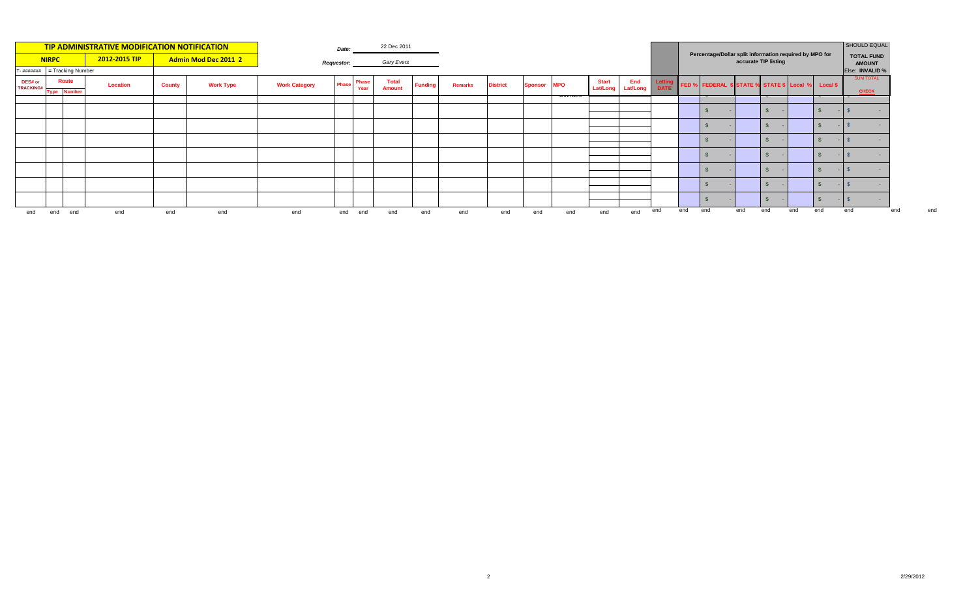| TIP ADMINISTRATIVE MODIFICATION NOTIFICATION |              |                                         |               |               |                      |                      |                   |               |                               |                |                |                 |         | Percentage/Dollar split information required by MPO for |                                   |     |      |     |                                                    | SHOULD EQUAL |                      |     |                    |                                       |
|----------------------------------------------|--------------|-----------------------------------------|---------------|---------------|----------------------|----------------------|-------------------|---------------|-------------------------------|----------------|----------------|-----------------|---------|---------------------------------------------------------|-----------------------------------|-----|------|-----|----------------------------------------------------|--------------|----------------------|-----|--------------------|---------------------------------------|
|                                              | <b>NIRPC</b> |                                         | 2012-2015 TIP |               | Admin Mod Dec 2011 2 |                      | <b>Requestor:</b> |               | Gary Evers                    |                |                |                 |         |                                                         |                                   |     |      |     |                                                    |              | accurate TIP listing |     |                    | <b>TOTAL FUND</b><br><b>AMOUNT</b>    |
|                                              |              | $T - \frac{\mu}{\mu}$ = Tracking Number |               |               |                      |                      |                   |               |                               |                |                |                 |         |                                                         |                                   |     |      |     |                                                    |              |                      |     |                    | Else: INVALID %                       |
| DES# or<br><b>TRACKING#</b>                  |              | <b>Route</b>                            | Location      | <b>County</b> | <b>Work Type</b>     | <b>Work Category</b> | Phase             | Phase<br>Year | <b>Total</b><br><b>Amount</b> | <b>Funding</b> | <b>Remarks</b> | <b>District</b> | Sponsor | <b>MPO</b>                                              | <b>Start</b><br>Lat/Long Lat/Long | End | DATE |     | FED % FEDERAL \$ STATE % STATE \$ Local % Local \$ |              |                      |     |                    | <b>SUM TOTAL</b>                      |
|                                              |              | <b>Type Number</b>                      |               |               |                      |                      |                   |               |                               |                |                |                 |         |                                                         |                                   |     |      |     | $\mathbf{\mathbf{v}}$                              |              |                      |     | $\mathbf{\ddot{}}$ | <b>CHECK</b><br>$\tilde{\phantom{a}}$ |
|                                              |              |                                         |               |               |                      |                      |                   |               |                               |                |                |                 |         |                                                         |                                   |     |      |     |                                                    |              |                      |     |                    |                                       |
|                                              |              |                                         |               |               |                      |                      |                   |               |                               |                |                |                 |         |                                                         |                                   |     |      |     |                                                    |              |                      |     |                    |                                       |
|                                              |              |                                         |               |               |                      |                      |                   |               |                               |                |                |                 |         |                                                         |                                   |     |      |     |                                                    |              |                      |     |                    |                                       |
|                                              |              |                                         |               |               |                      |                      |                   |               |                               |                |                |                 |         |                                                         |                                   |     |      |     |                                                    |              |                      |     |                    |                                       |
|                                              |              |                                         |               |               |                      |                      |                   |               |                               |                |                |                 |         |                                                         |                                   |     |      |     |                                                    |              |                      |     |                    |                                       |
|                                              |              |                                         |               |               |                      |                      |                   |               |                               |                |                |                 |         |                                                         |                                   |     |      |     |                                                    |              |                      |     |                    |                                       |
|                                              |              |                                         |               |               |                      |                      |                   |               |                               |                |                |                 |         |                                                         |                                   |     |      |     |                                                    |              |                      |     |                    |                                       |
| end                                          | end          | end                                     | end           | end           | end                  | end                  | end               | end           | end                           | end            | end            | end             | end     | end                                                     | end                               | end | end  | end | end                                                | end          | end                  | end | end                | end<br>end                            |